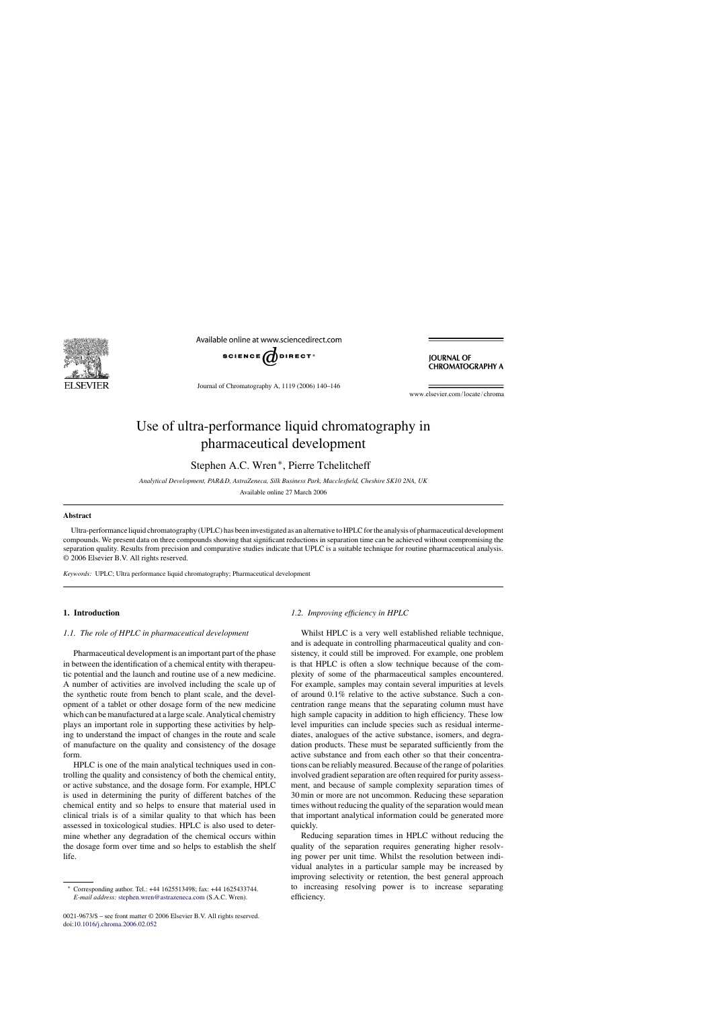

Available online at www.sciencedirect.com



**JOURNAL OF CHROMATOGRAPHY A** 

Journal of Chromatography A, 1119 (2006) 140–146

www.elsevier.com/locate/chroma

# Use of ultra-performance liquid chromatography in pharmaceutical development

Stephen A.C. Wren ∗, Pierre Tchelitcheff

*Analytical Development, PAR&D, AstraZeneca, Silk Business Park, Macclesfield, Cheshire SK10 2NA, UK*

Available online 27 March 2006

#### **Abstract**

Ultra-performance liquid chromatography (UPLC) has been investigated as an alternative to HPLC for the analysis of pharmaceutical development compounds. We present data on three compounds showing that significant reductions in separation time can be achieved without compromising the separation quality. Results from precision and comparative studies indicate that UPLC is a suitable technique for routine pharmaceutical analysis. © 2006 Elsevier B.V. All rights reserved.

*Keywords:* UPLC; Ultra performance liquid chromatography; Pharmaceutical development

# **1. Introduction**

#### *1.1. The role of HPLC in pharmaceutical development*

Pharmaceutical development is an important part of the phase in between the identification of a chemical entity with therapeutic potential and the launch and routine use of a new medicine. A number of activities are involved including the scale up of the synthetic route from bench to plant scale, and the development of a tablet or other dosage form of the new medicine which can be manufactured at a large scale. Analytical chemistry plays an important role in supporting these activities by helping to understand the impact of changes in the route and scale of manufacture on the quality and consistency of the dosage form.

HPLC is one of the main analytical techniques used in controlling the quality and consistency of both the chemical entity, or active substance, and the dosage form. For example, HPLC is used in determining the purity of different batches of the chemical entity and so helps to ensure that material used in clinical trials is of a similar quality to that which has been assessed in toxicological studies. HPLC is also used to determine whether any degradation of the chemical occurs within the dosage form over time and so helps to establish the shelf life.

0021-9673/\$ – see front matter © 2006 Elsevier B.V. All rights reserved. doi[:10.1016/j.chroma.2006.02.052](dx.doi.org/10.1016/j.chroma.2006.02.052)

# *1.2. Improving efficiency in HPLC*

Whilst HPLC is a very well established reliable technique, and is adequate in controlling pharmaceutical quality and consistency, it could still be improved. For example, one problem is that HPLC is often a slow technique because of the complexity of some of the pharmaceutical samples encountered. For example, samples may contain several impurities at levels of around 0.1% relative to the active substance. Such a concentration range means that the separating column must have high sample capacity in addition to high efficiency. These low level impurities can include species such as residual intermediates, analogues of the active substance, isomers, and degradation products. These must be separated sufficiently from the active substance and from each other so that their concentrations can be reliably measured. Because of the range of polarities involved gradient separation are often required for purity assessment, and because of sample complexity separation times of 30 min or more are not uncommon. Reducing these separation times without reducing the quality of the separation would mean that important analytical information could be generated more quickly.

Reducing separation times in HPLC without reducing the quality of the separation requires generating higher resolving power per unit time. Whilst the resolution between individual analytes in a particular sample may be increased by improving selectivity or retention, the best general approach to increasing resolving power is to increase separating efficiency.

<sup>∗</sup> Corresponding author. Tel.: +44 1625513498; fax: +44 1625433744. *E-mail address:* [stephen.wren@astrazeneca.com](mailto:stephen.wren@astrazeneca.com) (S.A.C. Wren).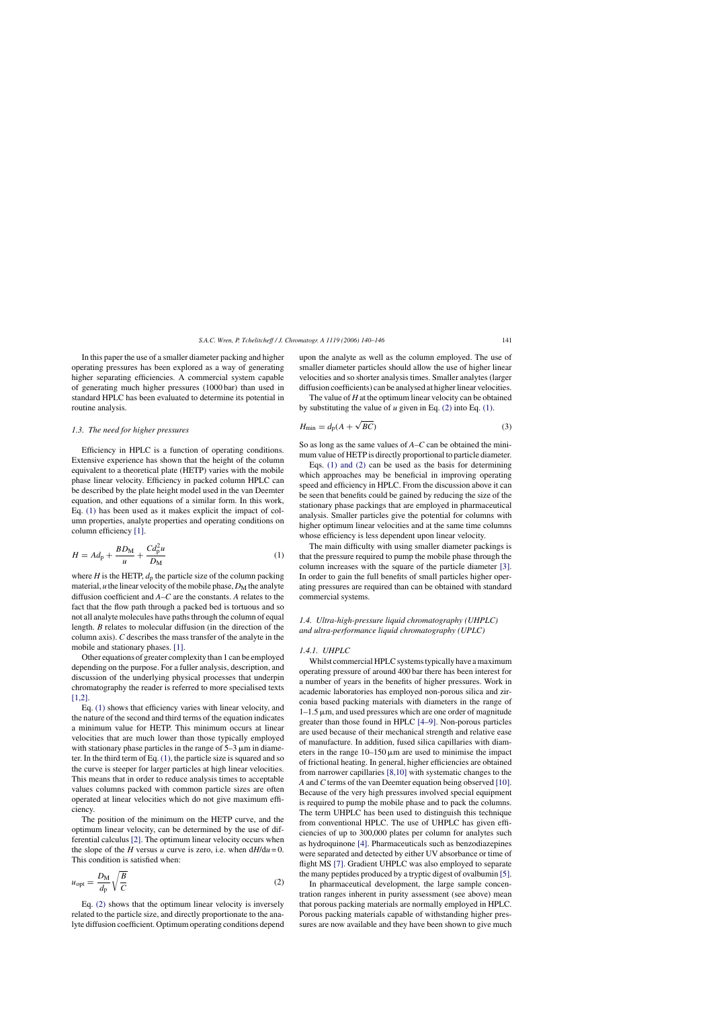<span id="page-1-0"></span>In this paper the use of a smaller diameter packing and higher operating pressures has been explored as a way of generating higher separating efficiencies. A commercial system capable of generating much higher pressures (1000 bar) than used in standard HPLC has been evaluated to determine its potential in routine analysis.

## *1.3. The need for higher pressures*

Efficiency in HPLC is a function of operating conditions. Extensive experience has shown that the height of the column equivalent to a theoretical plate (HETP) varies with the mobile phase linear velocity. Efficiency in packed column HPLC can be described by the plate height model used in the van Deemter equation, and other equations of a similar form. In this work, Eq. (1) has been used as it makes explicit the impact of column properties, analyte properties and operating conditions on column efficiency [\[1\].](#page-6-0)

$$
H = Ad_{\rm p} + \frac{BD_{\rm M}}{u} + \frac{Cd_{\rm p}^2 u}{D_{\rm M}}
$$
\n<sup>(1)</sup>

where  $H$  is the HETP,  $d_p$  the particle size of the column packing material,  $u$  the linear velocity of the mobile phase,  $D_M$  the analyte diffusion coefficient and *A*–*C* are the constants. *A* relates to the fact that the flow path through a packed bed is tortuous and so not all analyte molecules have paths through the column of equal length. *B* relates to molecular diffusion (in the direction of the column axis). *C* describes the mass transfer of the analyte in the mobile and stationary phases. [\[1\].](#page-6-0)

Other equations of greater complexity than 1 can be employed depending on the purpose. For a fuller analysis, description, and discussion of the underlying physical processes that underpin chromatography the reader is referred to more specialised texts [\[1,2\].](#page-6-0)

Eq. (1) shows that efficiency varies with linear velocity, and the nature of the second and third terms of the equation indicates a minimum value for HETP. This minimum occurs at linear velocities that are much lower than those typically employed with stationary phase particles in the range of  $5-3 \mu m$  in diameter. In the third term of Eq. (1), the particle size is squared and so the curve is steeper for larger particles at high linear velocities. This means that in order to reduce analysis times to acceptable values columns packed with common particle sizes are often operated at linear velocities which do not give maximum efficiency.

The position of the minimum on the HETP curve, and the optimum linear velocity, can be determined by the use of differential calculus [\[2\].](#page-6-0) The optimum linear velocity occurs when the slope of the *H* versus *u* curve is zero, i.e. when  $dH/du = 0$ . This condition is satisfied when:

$$
u_{\rm opt} = \frac{D_{\rm M}}{d_{\rm p}} \sqrt{\frac{B}{C}} \tag{2}
$$

Eq. (2) shows that the optimum linear velocity is inversely related to the particle size, and directly proportionate to the analyte diffusion coefficient. Optimum operating conditions depend upon the analyte as well as the column employed. The use of smaller diameter particles should allow the use of higher linear velocities and so shorter analysis times. Smaller analytes (larger diffusion coefficients) can be analysed at higher linear velocities.

The value of *H* at the optimum linear velocity can be obtained by substituting the value of *u* given in Eq. (2) into Eq. (1).

$$
H_{\min} = d_{\rm p}(A + \sqrt{BC})\tag{3}
$$

So as long as the same values of *A*–*C* can be obtained the minimum value of HETP is directly proportional to particle diameter.

Eqs. (1) and (2) can be used as the basis for determining which approaches may be beneficial in improving operating speed and efficiency in HPLC. From the discussion above it can be seen that benefits could be gained by reducing the size of the stationary phase packings that are employed in pharmaceutical analysis. Smaller particles give the potential for columns with higher optimum linear velocities and at the same time columns whose efficiency is less dependent upon linear velocity.

The main difficulty with using smaller diameter packings is that the pressure required to pump the mobile phase through the column increases with the square of the particle diameter [\[3\].](#page-6-0) In order to gain the full benefits of small particles higher operating pressures are required than can be obtained with standard commercial systems.

# *1.4. Ultra-high-pressure liquid chromatography (UHPLC) and ultra-performance liquid chromatography (UPLC)*

# *1.4.1. UHPLC*

Whilst commercial HPLC systems typically have a maximum operating pressure of around 400 bar there has been interest for a number of years in the benefits of higher pressures. Work in academic laboratories has employed non-porous silica and zirconia based packing materials with diameters in the range of  $1-1.5 \mu m$ , and used pressures which are one order of magnitude greater than those found in HPLC [\[4–9\].](#page-6-0) Non-porous particles are used because of their mechanical strength and relative ease of manufacture. In addition, fused silica capillaries with diameters in the range  $10-150 \mu m$  are used to minimise the impact of frictional heating. In general, higher efficiencies are obtained from narrower capillaries [\[8,10\]](#page-6-0) with systematic changes to the *A* and *C* terms of the van Deemter equation being observed [\[10\].](#page-6-0) Because of the very high pressures involved special equipment is required to pump the mobile phase and to pack the columns. The term UHPLC has been used to distinguish this technique from conventional HPLC. The use of UHPLC has given efficiencies of up to 300,000 plates per column for analytes such as hydroquinone [\[4\].](#page-6-0) Pharmaceuticals such as benzodiazepines were separated and detected by either UV absorbance or time of flight MS [\[7\]. G](#page-6-0)radient UHPLC was also employed to separate the many peptides produced by a tryptic digest of ovalbumin [\[5\].](#page-6-0)

In pharmaceutical development, the large sample concentration ranges inherent in purity assessment (see above) mean that porous packing materials are normally employed in HPLC. Porous packing materials capable of withstanding higher pressures are now available and they have been shown to give much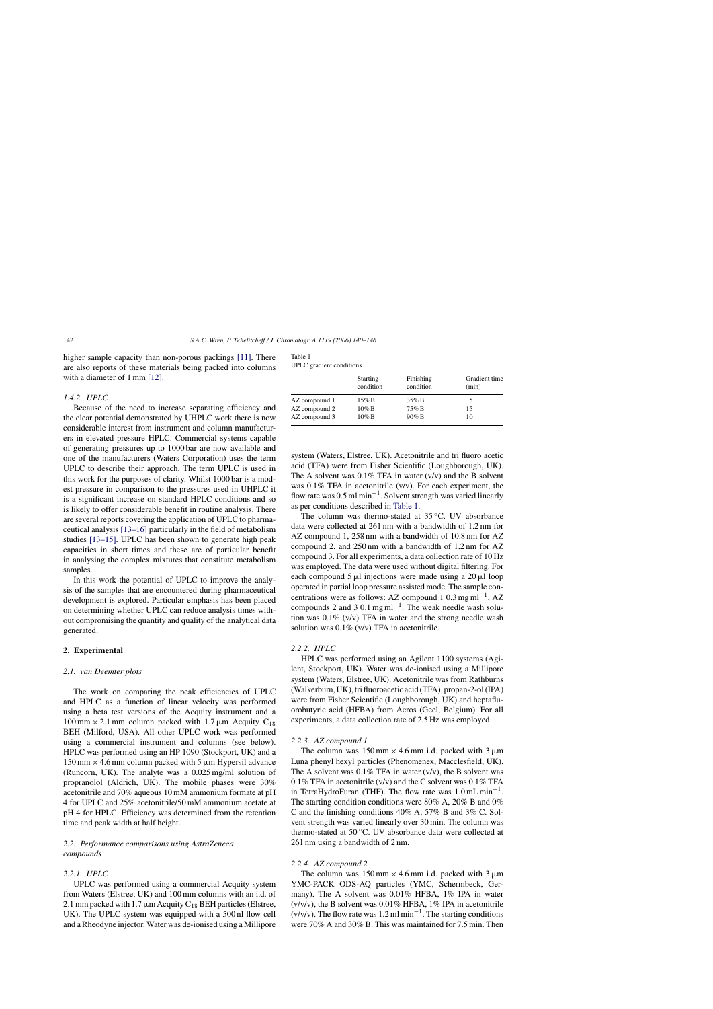higher sample capacity than non-porous packings [\[11\].](#page-6-0) There are also reports of these materials being packed into columns with a diameter of 1 mm [\[12\].](#page-6-0)

# *1.4.2. UPLC*

Because of the need to increase separating efficiency and the clear potential demonstrated by UHPLC work there is now considerable interest from instrument and column manufacturers in elevated pressure HPLC. Commercial systems capable of generating pressures up to 1000 bar are now available and one of the manufacturers (Waters Corporation) uses the term UPLC to describe their approach. The term UPLC is used in this work for the purposes of clarity. Whilst 1000 bar is a modest pressure in comparison to the pressures used in UHPLC it is a significant increase on standard HPLC conditions and so is likely to offer considerable benefit in routine analysis. There are several reports covering the application of UPLC to pharmaceutical analysis [\[13–16\]](#page-6-0) particularly in the field of metabolism studies [\[13–15\].](#page-6-0) UPLC has been shown to generate high peak capacities in short times and these are of particular benefit in analysing the complex mixtures that constitute metabolism samples.

In this work the potential of UPLC to improve the analysis of the samples that are encountered during pharmaceutical development is explored. Particular emphasis has been placed on determining whether UPLC can reduce analysis times without compromising the quantity and quality of the analytical data generated.

# **2. Experimental**

#### *2.1. van Deemter plots*

The work on comparing the peak efficiencies of UPLC and HPLC as a function of linear velocity was performed using a beta test versions of the Acquity instrument and a  $100 \text{ mm} \times 2.1 \text{ mm}$  column packed with  $1.7 \mu \text{m}$  Acquity C<sub>18</sub> BEH (Milford, USA). All other UPLC work was performed using a commercial instrument and columns (see below). HPLC was performed using an HP 1090 (Stockport, UK) and a  $150 \text{ mm} \times 4.6 \text{ mm}$  column packed with 5  $\mu$ m Hypersil advance (Runcorn, UK). The analyte was a 0.025 mg/ml solution of propranolol (Aldrich, UK). The mobile phases were 30% acetonitrile and 70% aqueous 10 mM ammonium formate at pH 4 for UPLC and 25% acetonitrile/50 mM ammonium acetate at pH 4 for HPLC. Efficiency was determined from the retention time and peak width at half height.

# *2.2. Performance comparisons using AstraZeneca compounds*

## *2.2.1. UPLC*

UPLC was performed using a commercial Acquity system from Waters (Elstree, UK) and 100 mm columns with an i.d. of 2.1 mm packed with 1.7  $\mu$ m Acquity C<sub>18</sub> BEH particles (Elstree, UK). The UPLC system was equipped with a 500 nl flow cell and a Rheodyne injector. Water was de-ionised using a Millipore

| Table 1                         |  |
|---------------------------------|--|
| <b>UPLC</b> gradient conditions |  |

|               | <b>Starting</b><br>condition | Finishing<br>condition | Gradient time<br>(min) |  |
|---------------|------------------------------|------------------------|------------------------|--|
| AZ compound 1 | $15\%$ B                     | $35\%$ B               |                        |  |
| AZ compound 2 | $10\%$ B                     | 75% B                  | 15                     |  |
| AZ compound 3 | $10\%$ B                     | 90% B                  | 10                     |  |
|               |                              |                        |                        |  |

system (Waters, Elstree, UK). Acetonitrile and tri fluoro acetic acid (TFA) were from Fisher Scientific (Loughborough, UK). The A solvent was  $0.1\%$  TFA in water (v/v) and the B solvent was 0.1% TFA in acetonitrile (v/v). For each experiment, the flow rate was 0.5 ml min−1. Solvent strength was varied linearly as per conditions described in Table 1.

The column was thermo-stated at 35 ◦C. UV absorbance data were collected at 261 nm with a bandwidth of 1.2 nm for AZ compound 1, 258 nm with a bandwidth of 10.8 nm for AZ compound 2, and 250 nm with a bandwidth of 1.2 nm for AZ compound 3. For all experiments, a data collection rate of 10 Hz was employed. The data were used without digital filtering. For each compound  $5 \mu l$  injections were made using a  $20 \mu l$  loop operated in partial loop pressure assisted mode. The sample concentrations were as follows: AZ compound 1 0.3 mg ml<sup>-1</sup>, AZ compounds 2 and 3 0.1 mg ml<sup>-1</sup>. The weak needle wash solution was 0.1% (v/v) TFA in water and the strong needle wash solution was 0.1% (v/v) TFA in acetonitrile.

## *2.2.2. HPLC*

HPLC was performed using an Agilent 1100 systems (Agilent, Stockport, UK). Water was de-ionised using a Millipore system (Waters, Elstree, UK). Acetonitrile was from Rathburns (Walkerburn, UK), tri fluoroacetic acid (TFA), propan-2-ol (IPA) were from Fisher Scientific (Loughborough, UK) and heptafluorobutyric acid (HFBA) from Acros (Geel, Belgium). For all experiments, a data collection rate of 2.5 Hz was employed.

#### *2.2.3. AZ compound 1*

The column was  $150 \text{ mm} \times 4.6 \text{ mm}$  i.d. packed with  $3 \mu \text{m}$ Luna phenyl hexyl particles (Phenomenex, Macclesfield, UK). The A solvent was  $0.1\%$  TFA in water (v/v), the B solvent was 0.1% TFA in acetonitrile  $(v/v)$  and the C solvent was 0.1% TFA in TetraHydroFuran (THF). The flow rate was  $1.0 \text{ mL min}^{-1}$ . The starting condition conditions were 80% A, 20% B and 0% C and the finishing conditions 40% A, 57% B and 3% C. Solvent strength was varied linearly over 30 min. The column was thermo-stated at 50 ◦C. UV absorbance data were collected at 261 nm using a bandwidth of 2 nm.

#### *2.2.4. AZ compound 2*

The column was  $150 \text{ mm} \times 4.6 \text{ mm}$  i.d. packed with  $3 \mu \text{m}$ YMC-PACK ODS-AQ particles (YMC, Schermbeck, Germany). The A solvent was 0.01% HFBA, 1% IPA in water  $(v/v/v)$ , the B solvent was 0.01% HFBA, 1% IPA in acetonitrile  $(v/v/v)$ . The flow rate was 1.2 ml min<sup>-1</sup>. The starting conditions were 70% A and 30% B. This was maintained for 7.5 min. Then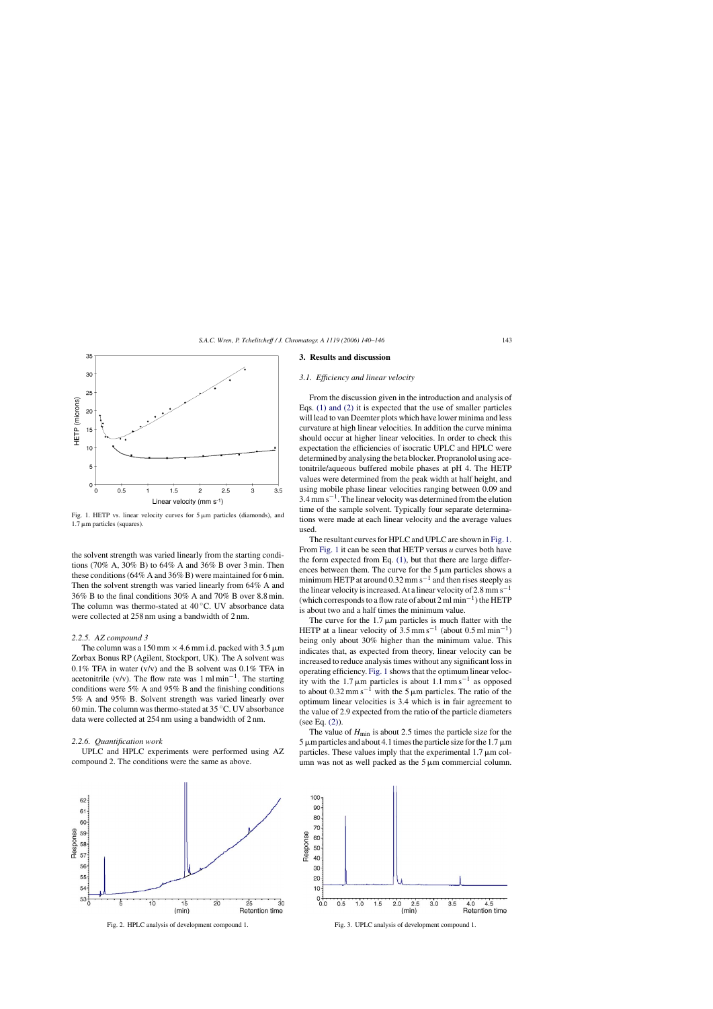<span id="page-3-0"></span>

Fig. 1. HETP vs. linear velocity curves for  $5 \mu m$  particles (diamonds), and  $1.7 \mu m$  particles (squares).

the solvent strength was varied linearly from the starting conditions (70% A, 30% B) to 64% A and 36% B over 3 min. Then these conditions (64% A and 36% B) were maintained for 6 min. Then the solvent strength was varied linearly from 64% A and 36% B to the final conditions 30% A and 70% B over 8.8 min. The column was thermo-stated at  $40\degree$ C. UV absorbance data were collected at 258 nm using a bandwidth of 2 nm.

#### *2.2.5. AZ compound 3*

The column was a 150 mm  $\times$  4.6 mm i.d. packed with 3.5  $\mu$ m Zorbax Bonus RP (Agilent, Stockport, UK). The A solvent was 0.1% TFA in water  $(v/v)$  and the B solvent was 0.1% TFA in acetonitrile (v/v). The flow rate was  $1 \text{ m/min}^{-1}$ . The starting conditions were 5% A and 95% B and the finishing conditions 5% A and 95% B. Solvent strength was varied linearly over 60 min. The column was thermo-stated at 35 ◦C. UV absorbance data were collected at 254 nm using a bandwidth of 2 nm.

#### *2.2.6. Quantification work*

UPLC and HPLC experiments were performed using AZ compound 2. The conditions were the same as above.

#### **3. Results and discussion**

#### *3.1. Efficiency and linear velocity*

From the discussion given in the introduction and analysis of Eqs. [\(1\) and \(2\)](#page-1-0) it is expected that the use of smaller particles will lead to van Deemter plots which have lower minima and less curvature at high linear velocities. In addition the curve minima should occur at higher linear velocities. In order to check this expectation the efficiencies of isocratic UPLC and HPLC were determined by analysing the beta blocker. Propranolol using acetonitrile/aqueous buffered mobile phases at pH 4. The HETP values were determined from the peak width at half height, and using mobile phase linear velocities ranging between 0.09 and  $3.4$  mm s<sup> $-1$ </sup>. The linear velocity was determined from the elution time of the sample solvent. Typically four separate determinations were made at each linear velocity and the average values used.

The resultant curves for HPLC and UPLC are shown in Fig. 1. From Fig. 1 it can be seen that HETP versus *u* curves both have the form expected from Eq. [\(1\),](#page-1-0) but that there are large differences between them. The curve for the  $5 \mu m$  particles shows a minimum HETP at around  $0.32$  mm s<sup>-1</sup> and then rises steeply as the linear velocity is increased. At a linear velocity of 2.8 mm s<sup> $-1$ </sup> (which corresponds to a flow rate of about 2 ml min<sup>-1</sup>) the HETP is about two and a half times the minimum value.

The curve for the  $1.7 \mu m$  particles is much flatter with the HETP at a linear velocity of  $3.5 \text{ mm s}^{-1}$  (about 0.5 ml min<sup>-1</sup>) being only about 30% higher than the minimum value. This indicates that, as expected from theory, linear velocity can be increased to reduce analysis times without any significant loss in operating efficiency. Fig. 1 shows that the optimum linear velocity with the 1.7  $\mu$ m particles is about 1.1 mm s<sup>-1</sup> as opposed to about  $0.32$  mm s<sup>-1</sup> with the 5  $\mu$ m particles. The ratio of the optimum linear velocities is 3.4 which is in fair agreement to the value of 2.9 expected from the ratio of the particle diameters (see Eq. [\(2\)\).](#page-1-0)

The value of  $H_{\text{min}}$  is about 2.5 times the particle size for the  $5 \mu m$  particles and about 4.1 times the particle size for the 1.7  $\mu$ m particles. These values imply that the experimental  $1.7 \mu m$  column was not as well packed as the  $5 \mu m$  commercial column.



Fig. 2. HPLC analysis of development compound 1.



Fig. 3. UPLC analysis of development compound 1.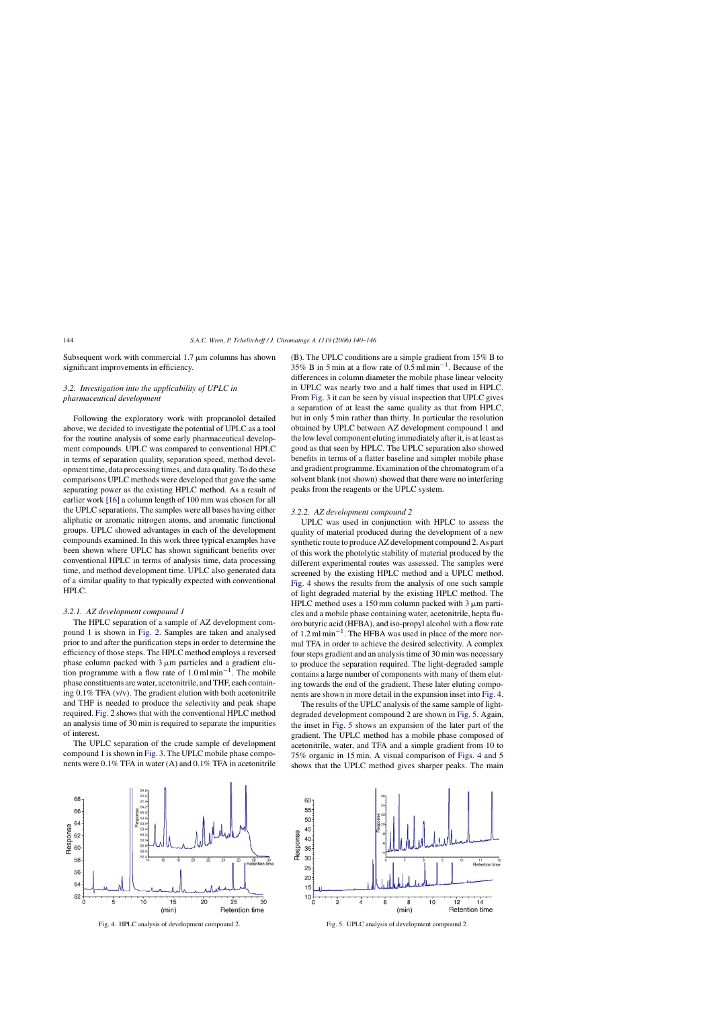Subsequent work with commercial  $1.7 \mu m$  columns has shown significant improvements in efficiency.

# *3.2. Investigation into the applicability of UPLC in pharmaceutical development*

Following the exploratory work with propranolol detailed above, we decided to investigate the potential of UPLC as a tool for the routine analysis of some early pharmaceutical development compounds. UPLC was compared to conventional HPLC in terms of separation quality, separation speed, method development time, data processing times, and data quality. To do these comparisons UPLC methods were developed that gave the same separating power as the existing HPLC method. As a result of earlier work [\[16\]](#page-6-0) a column length of 100 mm was chosen for all the UPLC separations. The samples were all bases having either aliphatic or aromatic nitrogen atoms, and aromatic functional groups. UPLC showed advantages in each of the development compounds examined. In this work three typical examples have been shown where UPLC has shown significant benefits over conventional HPLC in terms of analysis time, data processing time, and method development time. UPLC also generated data of a similar quality to that typically expected with conventional HPLC.

#### *3.2.1. AZ development compound 1*

The HPLC separation of a sample of AZ development compound 1 is shown in [Fig. 2.](#page-3-0) Samples are taken and analysed prior to and after the purification steps in order to determine the efficiency of those steps. The HPLC method employs a reversed phase column packed with  $3 \mu m$  particles and a gradient elution programme with a flow rate of 1.0 ml min<sup>-1</sup>. The mobile phase constituents are water, acetonitrile, and THF, each containing  $0.1\%$  TFA (v/v). The gradient elution with both acetonitrile and THF is needed to produce the selectivity and peak shape required. [Fig. 2](#page-3-0) shows that with the conventional HPLC method an analysis time of 30 min is required to separate the impurities of interest.

The UPLC separation of the crude sample of development compound 1 is shown in [Fig. 3. T](#page-3-0)he UPLC mobile phase components were 0.1% TFA in water (A) and 0.1% TFA in acetonitrile



(B). The UPLC conditions are a simple gradient from 15% B to 35% B in 5 min at a flow rate of 0.5 ml min−1. Because of the

#### *3.2.2. AZ development compound 2*

UPLC was used in conjunction with HPLC to assess the quality of material produced during the development of a new synthetic route to produce AZ development compound 2. As part of this work the photolytic stability of material produced by the different experimental routes was assessed. The samples were screened by the existing HPLC method and a UPLC method. Fig. 4 shows the results from the analysis of one such sample of light degraded material by the existing HPLC method. The HPLC method uses a 150 mm column packed with  $3 \mu$ m particles and a mobile phase containing water, acetonitrile, hepta fluoro butyric acid (HFBA), and iso-propyl alcohol with a flow rate of 1.2 ml min−1. The HFBA was used in place of the more normal TFA in order to achieve the desired selectivity. A complex four steps gradient and an analysis time of 30 min was necessary to produce the separation required. The light-degraded sample contains a large number of components with many of them eluting towards the end of the gradient. These later eluting components are shown in more detail in the expansion inset into Fig. 4.

The results of the UPLC analysis of the same sample of lightdegraded development compound 2 are shown in Fig. 5. Again, the inset in Fig. 5 shows an expansion of the later part of the gradient. The UPLC method has a mobile phase composed of acetonitrile, water, and TFA and a simple gradient from 10 to 75% organic in 15 min. A visual comparison of Figs. 4 and 5 shows that the UPLC method gives sharper peaks. The main



Fig. 4. HPLC analysis of development compound 2.



Fig. 5. UPLC analysis of development compound 2.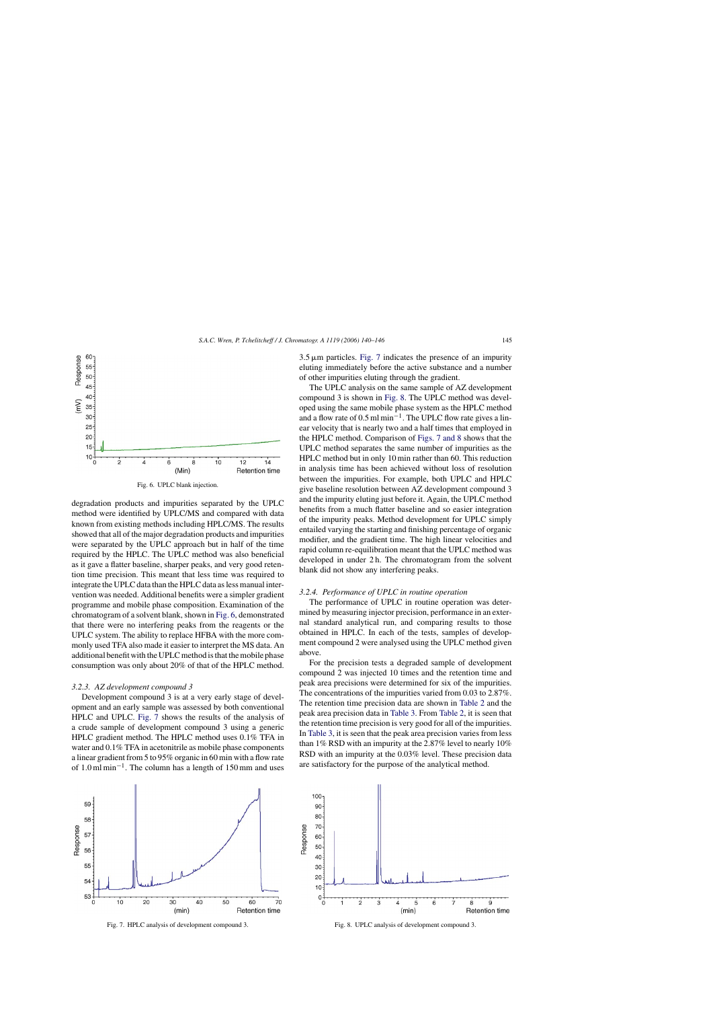

Fig. 6. UPLC blank injection.

degradation products and impurities separated by the UPLC method were identified by UPLC/MS and compared with data known from existing methods including HPLC/MS. The results showed that all of the major degradation products and impurities were separated by the UPLC approach but in half of the time required by the HPLC. The UPLC method was also beneficial as it gave a flatter baseline, sharper peaks, and very good retention time precision. This meant that less time was required to integrate the UPLC data than the HPLC data as less manual intervention was needed. Additional benefits were a simpler gradient programme and mobile phase composition. Examination of the chromatogram of a solvent blank, shown in Fig. 6, demonstrated that there were no interfering peaks from the reagents or the UPLC system. The ability to replace HFBA with the more commonly used TFA also made it easier to interpret the MS data. An additional benefit with the UPLC method is that the mobile phase consumption was only about 20% of that of the HPLC method.

#### *3.2.3. AZ development compound 3*

Development compound 3 is at a very early stage of development and an early sample was assessed by both conventional HPLC and UPLC. Fig. 7 shows the results of the analysis of a crude sample of development compound 3 using a generic HPLC gradient method. The HPLC method uses 0.1% TFA in water and 0.1% TFA in acetonitrile as mobile phase components a linear gradient from 5 to 95% organic in 60 min with a flow rate of 1.0 ml min−1. The column has a length of 150 mm and uses  $3.5 \mu m$  particles. Fig. 7 indicates the presence of an impurity eluting immediately before the active substance and a number of other impurities eluting through the gradient.

The UPLC analysis on the same sample of AZ development compound 3 is shown in Fig. 8. The UPLC method was developed using the same mobile phase system as the HPLC method and a flow rate of 0.5 ml min−1. The UPLC flow rate gives a linear velocity that is nearly two and a half times that employed in the HPLC method. Comparison of Figs. 7 and 8 shows that the UPLC method separates the same number of impurities as the HPLC method but in only 10 min rather than 60. This reduction in analysis time has been achieved without loss of resolution between the impurities. For example, both UPLC and HPLC give baseline resolution between AZ development compound 3 and the impurity eluting just before it. Again, the UPLC method benefits from a much flatter baseline and so easier integration of the impurity peaks. Method development for UPLC simply entailed varying the starting and finishing percentage of organic modifier, and the gradient time. The high linear velocities and rapid column re-equilibration meant that the UPLC method was developed in under 2 h. The chromatogram from the solvent blank did not show any interfering peaks.

#### *3.2.4. Performance of UPLC in routine operation*

The performance of UPLC in routine operation was determined by measuring injector precision, performance in an external standard analytical run, and comparing results to those obtained in HPLC. In each of the tests, samples of development compound 2 were analysed using the UPLC method given above.

For the precision tests a degraded sample of development compound 2 was injected 10 times and the retention time and peak area precisions were determined for six of the impurities. The concentrations of the impurities varied from 0.03 to 2.87%. The retention time precision data are shown in [Table 2](#page-6-0) and the peak area precision data in [Table 3. F](#page-6-0)rom [Table 2,](#page-6-0) it is seen that the retention time precision is very good for all of the impurities. In [Table 3, i](#page-6-0)t is seen that the peak area precision varies from less than 1% RSD with an impurity at the 2.87% level to nearly 10% RSD with an impurity at the 0.03% level. These precision data are satisfactory for the purpose of the analytical method.



Fig. 7. HPLC analysis of development compound 3.



Fig. 8. UPLC analysis of development compound 3.